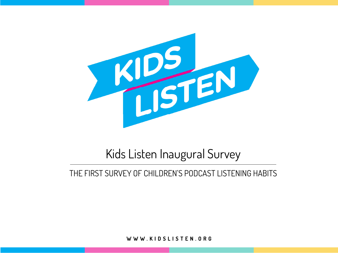

# Kids Listen Inaugural Survey

### THE FIRST SURVEY OF CHILDREN'S PODCAST LISTENING HABITS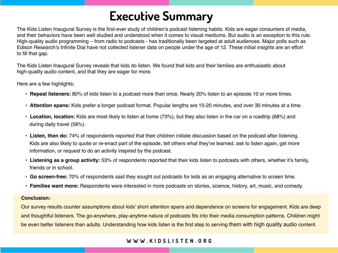# **Executive Summary**

The Kids Listen Inaugural Survey is the first-ever study of children's podcast listening habits. Kids are eager consumers of media, and their behaviors have been well studied and understood when it comes to visual mediums. But audio is an exception to this rule. High-quality audio programming – from radio to podcasts - has traditionally been targeted at adult audiences. Major polls such as Edison Research's Infinite Dial have not collected listener data on people under the age of 12. These initial insights are an effort to fill that gap.

The Kids Listen Inaugural Survey reveals that kids do listen. We found that kids and their families are enthusiastic about high-quality audio content, and that they are eager for more.

Here are a few highlights:

- **Repeat listeners:** 80% of kids listen to a podcast more than once. Nearly 20% listen to an episode 10 or more times.
- **Attention spans:** Kids prefer a longer podcast format. Popular lengths are 15-20 minutes, and over 30 minutes at a time.
- **Location, location:** Kids are most likely to listen at home (73%), but they also listen in the car on a roadtrip (68%) and during daily travel (58%).
- **Listen, then do:** 74% of respondents reported that their children initiate discussion based on the podcast after listening. Kids are also likely to quote or re-enact part of the episode, tell others what they've learned, ask to listen again, get more information, or request to do an activity inspired by the podcast.
- **Listening as a group activity:** 53% of respondents reported that their kids listen to podcasts with others, whether it's family, friends or in school.
- **Go screen-free:** 70% of respondents said they sought out podcasts for kids as an engaging alternative to screen time.
- **Families want more:** Respondents were interested in more podcasts on stories, science, history, art, music, and comedy.

#### **Conclusion:**

Our survey results counter assumptions about kids' short attention spans and dependence on screens for engagement. Kids are deep and thoughtful listeners. The go-anywhere, play-anytime nature of podcasts fits into their media consumption patterns. Children might be even better listeners than adults. Understanding how kids listen is the first step to serving them with high quality audio content.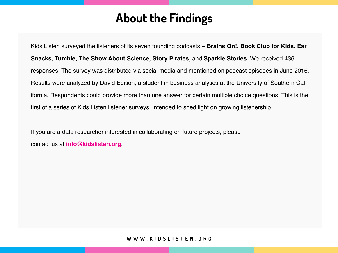# **About the Findings**

Kids Listen surveyed the listeners of its seven founding podcasts – **Brains On!, Book Club for Kids, Ear Snacks, Tumble, The Show About Science, Story Pirates,** and **Sparkle Stories**. We received 436 responses. The survey was distributed via social media and mentioned on podcast episodes in June 2016. Results were analyzed by David Edison, a student in business analytics at the University of Southern California. Respondents could provide more than one answer for certain multiple choice questions. This is the first of a series of Kids Listen listener surveys, intended to shed light on growing listenership.

If you are a data researcher interested in collaborating on future projects, please contact us at **info@kidslisten.org**.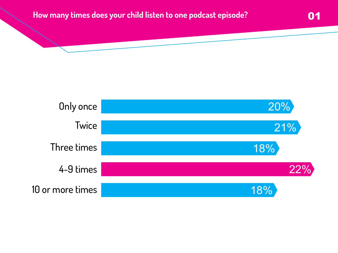### **How many times does your child listen to one podcast episode?**

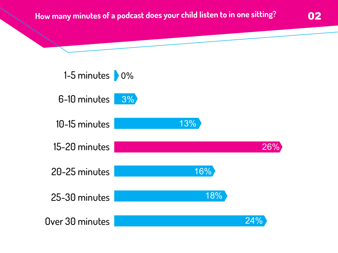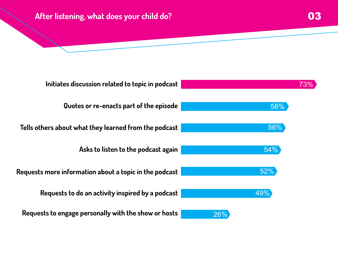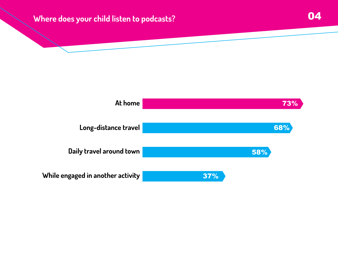## **Where does your child listen to podcasts?** 04

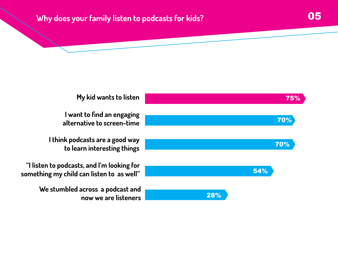## **Why does your family listen to podcasts for kids? 1988 1988**

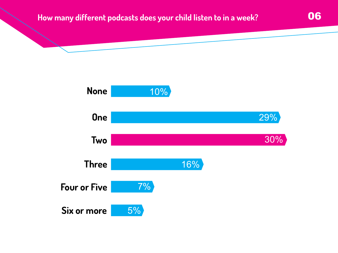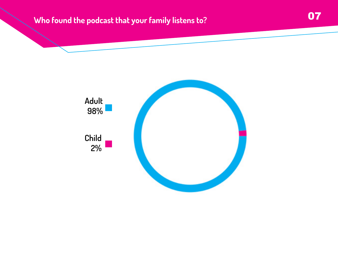# 07 **Who found the podcast that your family listens to?**

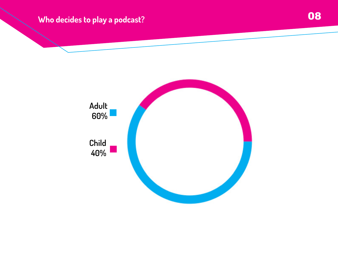# **EXECUTE:** Who decides to play a podcast?

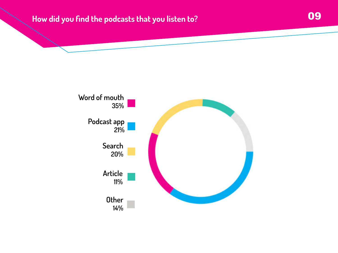## **How did you find the podcasts that you listen to? COU**

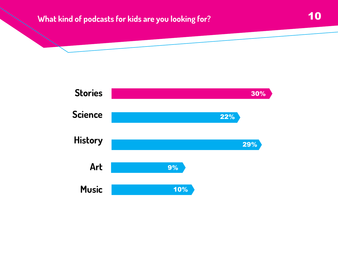## **What kind of podcasts for kids are you looking for?** 10

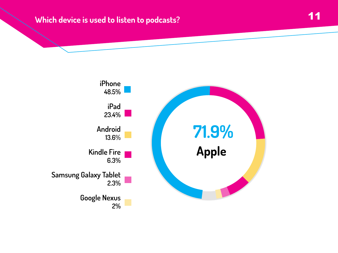#### **Which device is used to listen to podcasts?**

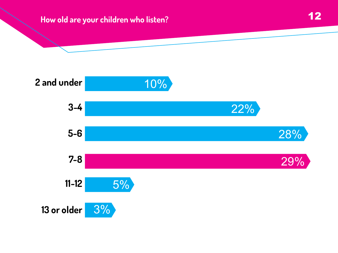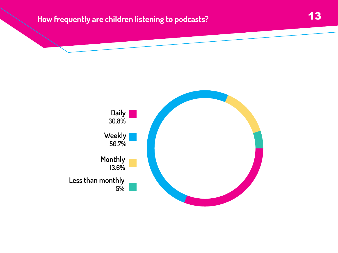### **How frequently are children listening to podcasts?**

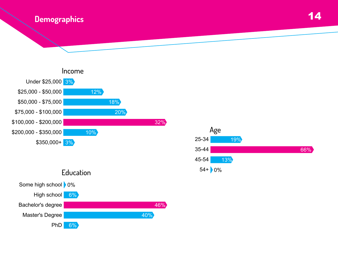



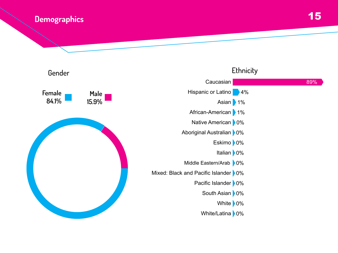#### **Demographics**



### 15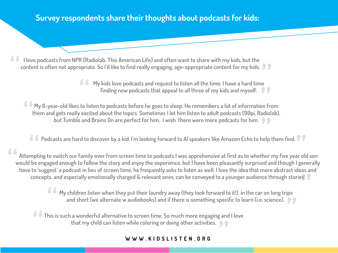#### **Survey respondents share their thoughts about podcasts for kids:**

 **I love podcasts from NPR (Radiolab, This American Life) and often want to share with my kids, but the content is often not appropriate. So I'd like to find really engaging, age-appropriate content for my kids.** 

**My kids love podcasts and request to listen all the time. I have a hard time finding new podcasts that appeal to all three of my kids and myself. <sup>4</sup> • My** kids love podcasts and request to listen all the time. I have a hard time<br>finding new podcasts that appeal to all three of my kids and myself.<br>Finding new podcasts that appeal to all three of my kids and myself.

**My 8-year-old likes to listen to podcasts before he goes to sleep. He remembers a lot of information from them and gets really excited about the topics. Sometimes I let him listen to adult podcasts (99pi, Radiolab), but Tumble and Brains On are perfect for him. I wish there were more podcasts for him. 4 My** 8-year-old likes to listen to podcasts before he goes to sleep. He remembers a lot of information from them and gets really excited about the topics. Sometimes I let him listen to adult podcasts (99pi, Radiol but Tu

**Podcasts are hard to discover by a kid. I'm looking forward to AI speakers like Amazon Echo to help them find.**

 **Attempting to switch our family over from screen time to podcasts I was apprehensive at first as to whether my five year old son would be engaged enough to follow the story and enjoy the experience, but I have been pleasantly surprised and though I generally have to 'suggest' a podcast in lieu of screen time, he frequently asks to listen as well. I love the idea that more abstract ideas and "**

**Example 2018 one processus and especially emotionally charged & relevant ones, can be conveyed to a younger audience through stories.<br>
<sup>1</sup> My children listen when they put their laundry away (they look forward to it!), in My children listen when they put their laundry away (they look forward to it!), in the car on long trips and short (we alternate w audiobooks) and if there is something specific to learn (i.e. science). <sup><b>//s**</sup> My children listen when they put their laundry away (they look forward to it!), in the car on long trips and short (we alternate w audiobooks) and if there is something specific to learn (i.e. science).<br>
<sup>2</sup> This

**This is such a wonderful alternative to screen time. So much more engaging and I love that my child can listen while coloring or doing other activities. This is such a wonderful alternative to screen time. So much more engaging and that my child can listen while coloring or doing other activities.<br>
<b>WWW.KIDSLISTEN.ORG**